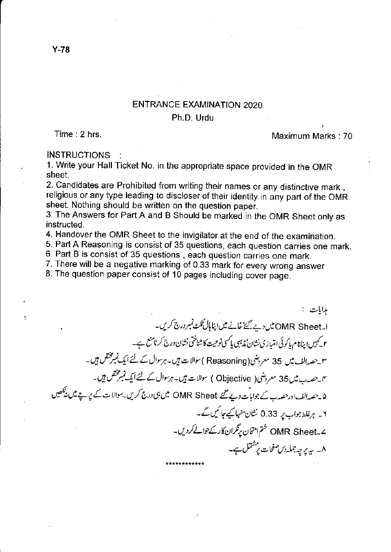## **ENTRANCE EXAMINATION 2020** Ph.D. Urdu

Time: 2 hrs.

## Maximum Marks: 70

## **INSTRUCTIONS**

1. Write your Hall Ticket No. in the appropriate space provided in the OMR sheet.

2. Candidates are Prohibited from writing their names or any distinctive mark, religious or any type leading to discloser of their identity in any part of the OMR sheet. Nothing should be written on the question paper.

3. The Answers for Part A and B Should be marked in the OMR Sheet only as instructed.

4. Handover the OMR Sheet to the invigilator at the end of the examination.

5. Part A Reasoning is consist of 35 questions, each question carries one mark.

6. Part B is consist of 35 questions, each question carries one mark.

7. There will be a negative marking of 0.33 mark for every wrong answer

8. The question paper consist of 10 pages including cover page.

ہدایات : ا۔OMR Sheet میں دیے گئے خانے میں اپناہال ٹکٹ نمبر درج کریں۔ ۲ کیمپس اینانام پاکوئی امتیازی نشان ندیبی پاکسی نوعیت کاشناختی نشان درج کرنامنع ہے۔ سوے۔الف میں 35 معروضی( Reasoning )سوالات ہیں۔ہرسوال کے لئے ایک نمبرمختص ہیں۔ مک حصہ ب میں 35 معروضی( Objective ) سوالات ہیں۔ہرسوال کے لئے ایک نمبر مختص ہیں۔ ۵۔حصہ الف اورحصہ بے جوابات دیے گئے OMR Sheet میں ہی درج کریں۔سوالات کے یریے میں نیکھیں ۲۔ ہرغلط جواب پر 0.33 نشان منہا کیے جا کیں گے۔ ے۔OMR Sheet ختم امتحان برنگران کارکے حوالے کردیں۔ ۸۔ پہ پر چہ جملہ دس صفحات پر شتمل ہے۔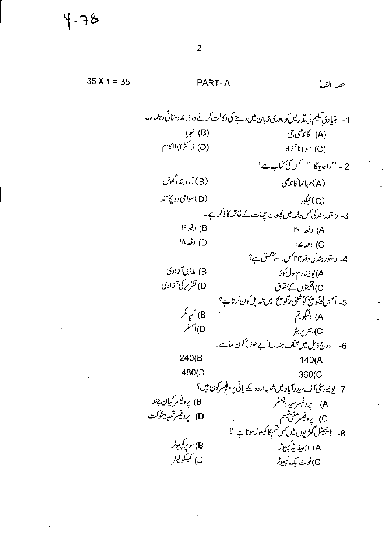$35 X 1 = 35$ PART-A حصهُ الفيأ 1- بنیا دی تعلیم کی تد ریس کو مادری زبان میں دینے کی دکالت کرنے والا ہندوستانی رہنماء۔  $\mathcal{P}(\mathsf{B})$ . (A) گاند*هي ج*ي (D) ڈاکٹرابوالکلام (C) مولانا آزاد 2 - "راجايوگا " سس كى كتاب ہے؟ (B) آروبند دگھو*ڻ* (A) مہاتما گاندھی (D) سوامی وولیًا نند (C) ٹیگور 3- دستورہند کی کس دفعہ میں جھوت جھات کے خاتمہ کا ذکر ہے۔ (B) دفعہ<sup>19</sup> A) رقعہ ۲۰ D) دفعہ۱۸ C) دفعہ ۱۷ 4- دستور ہندکی دفعہ بہم کس سے متعلق ہے؟ A) يونيفارم سول کوڈ B) نەجى آزادى D) تقریر کی آزادی C) اقلیتوں کے حقوق 5- اسمبل لينگو پج كوشينى لينگو پج ميں تبديل كون كرتا ہے؟ B) کمپانگر A) اليگورتم D)اسمبلر C)انٹر پریٹر 6- درج ذیل میں مخلف ہندسہ (بے جوڑ) کون ساہے۔  $240(B)$  $140(A)$ 480(D 360(C 7- یونیورسٹی آف حیدرآباد میں شعبہ اردو کے بانی پروفیسرکون ہیں؟ B) يرد فيسر گيان چند A) پردفیسرسیده جعفر D) يرد فيسرثمين<sup>ش</sup>وكت C) پروفیسر مغنی شمہ<br>8- ڈیجیٹل گھڑیوں میں س قسم کا کمپیوٹر ہوتا ہے ؟ B)سوپرِ کمپیوٹر A) ايميڈ پريمپيوٹر D) <sup>س</sup>يلكوليىر G)نوٹ بک کمپیوٹر

 $-2-$ 

५ - २४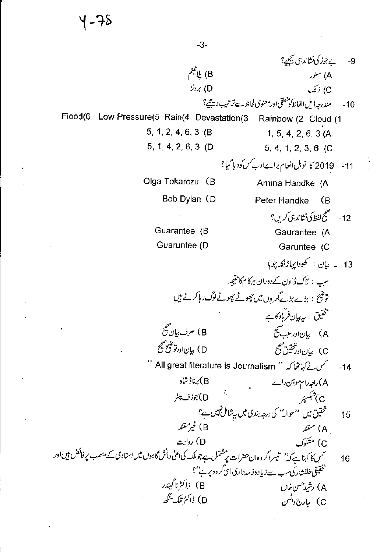$-3-$ بے جوڑ کی نشاند ہی کیچی؟ -9 B) ياب<sup>ى</sup>نم A) سلور C) زنک  $22(5)$ مندرجه ذيل الفاظ كونطقي اورمعنوي لحاظ سےترتيب ديجھے؟  $-10$ Flood(6 Low Pressure(5 Rain(4 Devastation(3 Rainbow (2 Cloud (1 5, 1, 2, 4, 6, 3  $(B)$  $1, 5, 4, 2, 6, 3 (A)$ 5, 1, 4, 2, 6, 3 (D) 5, 4, 1, 2, 3, 6 (C 11- 2019 کا نوبل انعام براےادب کس کودیا گیا؟ Olga Tokarczu (B Amina Handke (A Bob Dylan (D Peter Handke - (B 12- مېمنچ لفظ كې نشاندې كرين؟ Guarantee (B Gaurantee (A Guaruntee (D Garuntee (C 13- بە بىان : كھودا يہاڑىگلاچوما سب : لاک ڈاون کے دوران ہرکام کانتیجہ توضیح : بڑے بڑےگھروں میں چھوٹے چھوٹے لوگ رہا کرتے ہیں شخصین : پ*ه بیان فرمادکا*ے B) صرف بيان صحيح A) بيانااورسبب صحيح D) بياناورتوشيح صحيح C) بان اور شخقیق صحیح مس نے کہاتھا کہ '' All great literature is Journalism ''  $-14$ A) راجہ رام موہمن رائے<br>م B)برناڑشاہ A\ربہہ (A<br>C ) شیکسپر<br>مستقیق میں ''حوالہ'' کی درجہ بندی میں سپشامل نہیں ہے؟<br>مستمندہ D)جوزف پلڑ 15 ۔<br>سمس کا کہنا ہے کہ'' تیسرا گروہ ان حضرات پر شتمل ہے جوملک کی اعلیٰ دانش گاہوں میں استادی کے منصب پر فائض ہیں اور 16 تحقیقی خافشاری سب سے زیادہ ذمہ داری ا<sub>سی</sub> گروہ پر ہے<sup>،</sup> ؟ .<br>B ) ڈاکٹرنا گیندر A) رشيدحسن خال D) ڈاکٹر تلک سنگھ C) جارج دائس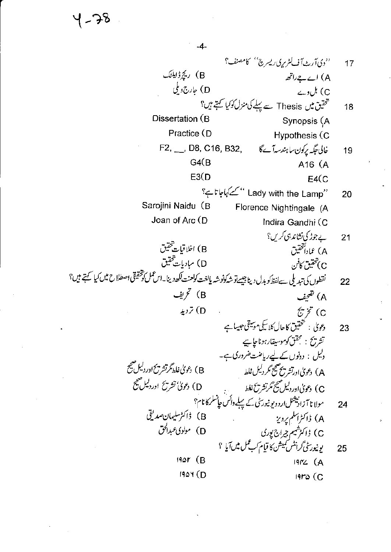$-4-$ 

''دى آرث آف لشريرى ريسرچى'' كامصنف؟ 17 (B) ريج ژاپل<sup>و</sup>ک A) اے ہے راتھ D) جارج ویکی C) ٹل وے تحقیق میں Thesis سے پہلے کی منزل کو کیا گہتے ہیں؟ 18 Dissertation (B Synopsis (A Practice (D **Hypothesis (C** F2, \_\_, D8, C16, B32, خالی جگہ پرِکون ساہندسہآےگا 19  $G4(B)$ A16 (A  $E3(D)$  $E4(C)$ ''Eady with the Lamp ''کےکہاجاتا ہے؟ 20 Sarojini Naidu (B Florence Nightingale (A Joan of Arc (D Indira Gandhi (C ے جوڑ کی نشاند ہی کریں؟  $21$ B) اخلاقیات شخقیق A) عمادالتحقيق D) مبادیات تحقیق ح) تحقيق كافن نقطوں کی تبدیلی سےلفظ کو بدل دیتا جیسےتو شہکونوشہ یالغت کولعنت لکھ دینا۔اس عمل کوشقیقی اصطلاح میں کیا کہتے ہیں؟ 22 B) تحریف A) تقحیف D) تردید  $\mathcal{E}\ddot{\mathcal{E}}$  (C دیویٰ : تخفیق کاحال کلاسکی موسیقی جیسا ہے 23 تشريح : مجقق كوموسيقار ہوناجا ہے دلیل : دونوں کے لیےریاضت ضروری ہے۔ B) دعویٰ غلط گرتشریح اور دلیل صحیح A) دعویٰ اورتشریح صحیح مگر دلیل غلط D) دعومیٰ تشریح اوردلیل صحیح C) دعویٰاوردلیل صحیح تکرتشریخ نغط C ) دعوی اوردیس س رسر سه<br>مولا نا آزادنیشنل اردو یو نیورسٹی کے پہلے واکس حاضلہ کا نام؟<br>B ) ڈاکٹرسلیمان صدیقی  $24$ D) مولوی *عب*دا*لق* C) ڈاکٹ<sup>شیم چ</sup>راج یوری ىونيورى<sup>ن</sup>ى *گرانىش كى*يىشن كا قيام كىپ *تىل مىل* آيا ؟ 25  $19Qr$  (B  $1972(A)$  $190Y(D)$  $19r\omega$  (C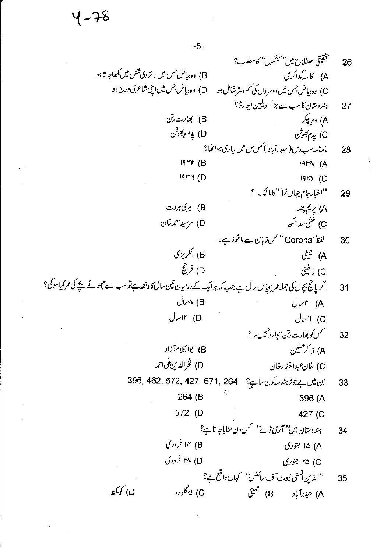५ - 78

 $-5-$ 

تحقيقي اصطلاح مين بمشكول' كامطلب؟ 26 B) وہ بیاض جس میں دائر وی شکل میں لکھاجا تا ہو A) كاسەگداگرى C) وہ بیاض جس میں دوسروں کی نظم ونثر شامل ہو \_\_ D) وہ بیاض جس میں اپنی شاعری درج ہو ہندوستان کاسب سے بڑاسویلین ایوارڈ ؟ 27 B) بھارت رتن A) وړ چکر D) پڊم وِبَقوش C) پدم بھوش ما ہنامہ سب رس (حیدرآباد ) *کس بن میں جاری ہو*اتھا؟ 28  $19rr$  (B  $191^{\circ}$  (A  $19F4(D)$  $19r\omega$  (C ''اخبار جام جہاں نما'' کاما لگ ؟ 29 B) ہرگ*اہ* دت A) پريم چند C) منثى سداسكھ D) سرسیداحمہ خان C) ں سدرے<br>لفظ''Corona'' *کس زب*ان سے ماخوذ ہے۔<br>منہ  $30<sup>2</sup>$ B) انگرېزي بيني<br>A) چينې D) فريچُ C) لاطيني اگر پانچ بچوں کی جملہ عمر پچاس سال ہے جب کہ ہرایک کے درمیان تین سال کاوقفہ ہےتو سب سے چھوٹے بچے کی عمر کیا ہوگ؟  $31$  $U \wedge (B)$  $J\vee\mathsf{r}$  (A  $U$ اسال $r$  (D  $U+$  (C *گس کو بھارت رتن ایوارڈنہیں مل*ا؟ 32 (B) ابوالکلام آزاد A) ذاکر حنین D) فخرالدين على احمه C) خان عبدالغفارخان ان میں بے جوڑ ہندسہ کون ساہے؟ 462, 572, 427, 671, 264 33 264 (B 396 (A 572 (D 427 (C ہندوستان میں '' آری ڈے'' سس دن منایاجا تاہے؟ 34 ۱۴ (وری A) ۱۵ جوری h (D) افروری ©) ۲۵ جوړي ''انڈین نسٹی ٹیوٹ آف سائنس'' کہاں واقع ہے؟ 35 C) بېنگلورو D) كۈلكى<del>ت</del>ە A) حيدرآباد B) ممبئي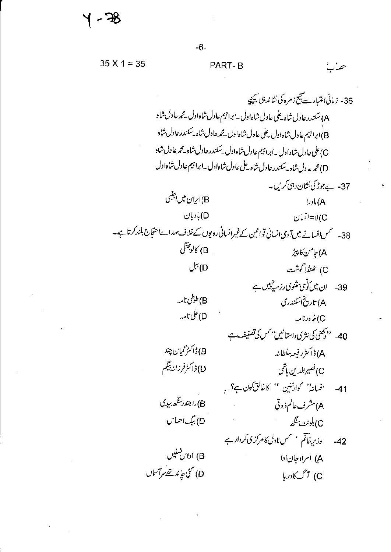- 78

حصەر

 $35 X 1 = 35$ PART-B

36- زماني اعتبار سے پیچ زمرہ کی نشاند ہی کیجیے A) سكندر عادل شاه \_على عادل شاه اول \_ابرا تبيم عادل شاه اول \_مجمه عادل شاه B)ابراجیم عادل شاه اول بیلی عادل شاه اول میچمه عادل شاه به سکندر عادل شاه C)على عادل شاه اول \_ابراتيم عادل شاه اول \_سكندر عادل شاه \_محمه عادل شاه D) محمه عا دل شاه –سکندر عادل شاه بهلی عادل شاه اول –ابرا تیم عادل شاه اول 37- پے جوڑ کی نشان دہی کریں۔ B)اری<sub>ان</sub> میں اجنبی  $Jx(A)$ D)بادبان C∪لا=انسان 38- سمس افسانے میں آ دی انسانی قوانین کے غیرانسانی رویوں کےخلاف صدا ےاحتجاج بلند کرتا ہے۔ B) كالوجَقَلَى A) جامن کا پیڑ  $\stackrel{\leftrightarrow}{\sim}$ (D C) خْيْذْراً كَوشْت 39- ان میں کوئی مشوی رزمی<sup>نہیں</sup> ہے B)طوطی نامہ A) تاریخ اسکندری D)على نامە C) خاورنامه 40- ''دیحنی کی نثری داستانیں'' کس کی تصنیف ہے B) ڈاکٹر گیان چند A) ڈاکٹرر فیعہ سلطانہ D) ڈاکٹرفرزانہ بیگم C) نصيرالدين ماشي افسانہ'' کوارنٹین '' کاخالق کھین ہے؟ ،  $-41$ B)راجندر سَگھ بہدی A) مشرف عالم ذوقي D) بيگ احساس C)بلونت ينگھ دزیرخاتم مسمس نادل کامرکزی کردار ہے  $-42$ B) اداس تىليىں A) امراوجان ادا D) كُنْ جاند تھے مرآساں C) آگ کادریا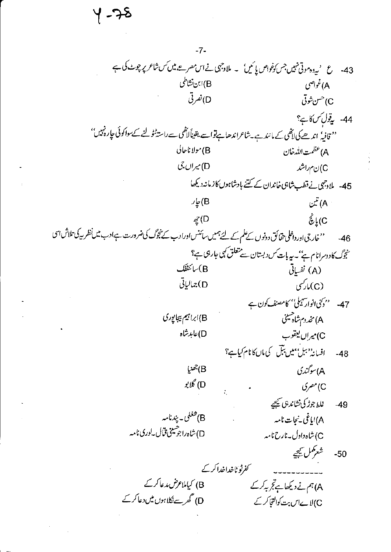५ - २०

 $-7-$ 43- ع 'یدوہ موتی نہیں جس کونواص پائیں'۔ ملاوجہی نے اس مصر مے میں کس شاعر پر چوٹ کی ہے B)ابن نشاطی A)غواصي D)نصرتی C) حسن شوتی 44- يةولسكاني؟ '' قافیہٗ اندھے کی لاٹھی کے مانند ہے۔شاعراندھاہےتواسے یقیناً لاٹھی سے راستہٹو لنے کےسواکوئی چارہ نہیں'' (B) مولا ناحالي A) عظمت الله خان D) میراں جی C)نم راشد 45- ملادجی نے قطب شاہی خاندان کے کتنے بادشاہوں کازمانہ دیکھا  $\omega^{\tilde{x}}$ (A يار $\epsilon$  $\dot{\hat{\mathcal{E}}}_{\epsilon}$ (C  $\mathcal{Z}(D)$ ''خارجی اور داخلی حقائق دونوں کے علم کے لئے ہمیں سائنس اورادب کے نتجوگ کی ضرورت ہےادب میں نظر بیرکی تلاش اسی  $-46$ شجوگ کا دوسرانام ہے''۔ <sub>س</sub>ے بات *کس دبست*ان سے متعلق کہی جارہی ہے؟ (B)سائنٹفک (A) نَفسِاِتِی D)جمالياتي (C)مار*ک*ی 47- ''د کی انوار کیمل'' کامصنف کون ہے (B)ابراہیم بیجانپوری A) مخدوم شاه حسینی D)عابدشاه C) ميراں ليتقوب افسانہ ''بیل''میں بتل کی ماں کانام کیاہے؟  $-48$ لا) جھنيا A) سوگندی D) گلابو C)مصري غلط جوڑ کی نشاند ہی کیجیے  $-49$ B)څغلې - پېدنامه A)اياغى -نىجات نامىه D)شاەراجومىنى قبال بەرى نامە C) شاه داول به نارح نامه شعركمل سيمجيه  $-50$ کفرٹو ٹاخداخدا کرکے B) کیاملاعرض مدعا کرکے A)ہم نے دیکھاہ تجربہ کرکے D) گھرسےنکلاہوں میں دعاکرکے C)لاےاس بت کوالتجا کرکے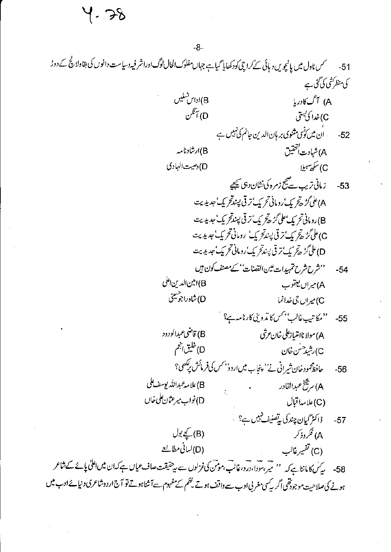५. २४

گىس ناول ميں يانچويں د پائى كے كرا چى كودكھايا گياہے جہاں مفلوك الحال لوگ اوراشر فيہ دسياست دانوں كى بقاولا پچ كے دوڑ  $-51$ كى منظركشى كى گئى ہے واس تسلیں (B .<br>A) آگ کادر ما D) آنگن C)خدا کی کہتی . ان میں کوئی مثنوی بر ہان الدین جانم کی *نہیں ہے*  $-52$ A) شہادت<sup>[تتحقیق</sup> (B)ارشادنامه D) دصیت الہادی C) سکھ<sup>س</sup>بلا 53- زماني تريب سے پيج زمرہ کی نشان دہی بھيجيے A) على *گڑھ<sup>ت</sup>ح ي*ک ٔرومانی تحريک ٔ تر قی پسندتحريک ٔ جديديت B)رومانی تحریک ٔ علی گڑھ تحریک' تر تی پسندتحریک' جدیدیت C) على گڑھ تر پک تر تی پسندتر یک رومانی تحریک عدیدیت D) على گڑھ تر بک تر قی پسندتر بک رومانی تحریک جدیدیت ''شرح شرح تم بيدات عين القضات'' کے مصنف کون ہيں  $-54$ B) امين الدين اعلى A) میراں یعقوب D)شاه راجوسینی C) میران جی خدانما ''مکاتىپ غالب<sup>''م</sup>سکا تروپنى کارنامە ہے؟ <sup>'</sup>  $-55$ B) قاضي عبدالودود A) مولا ناامتيازعلى خان عرشي D) خلیق انجم C)رشيدحسن خان حافظ محمودخان شیرانی نے'' پنجاب میں اردؤ بھس کی فرمائش یہ کھی؟  $-56$ B)علامەغبداللە يوسف على A) سرشخ عبدالقادر D)نواب میرعثان کلی خال (C)علامہ!قبال ڈاکٹر گیان چندکی رتصنیف تہیں ہے؟  $-57$ (B) کیے بول A) فکروذ کر (D)لساني مطالع<u>ة</u> (C) تفسيرغالب 58- پیش کامانناہے کہ '' میر سودا،درد،غالب مومن کی غزلوں سے پیشیقت صاف عمان ہے کہ ان میں اعلیٰ پائے کے شاعر ہونے کی صلاحیت موجودتھی اگر کیسی مغربی ادب سے واقف ہوتے تھم کے مفہوم سےآشناہوتے تو آج اردوشاعری دنیا یے ادب میں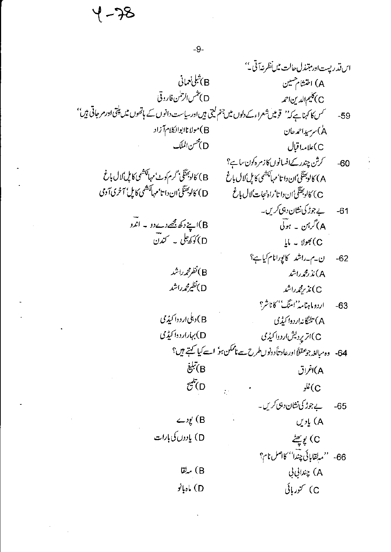4-78

 $-9-$ 

اس قدريست اور مبتندل حالت ميں نظر نہ آتی۔'' و)شلى نىمانى B A) اختشام مسین D) تنس الرحلن فاروقي C) کلیم الدین احمه کس کا کہناہے کہ'' قومیں شعراءکے دلوں میں جنم کیتی ہیں اور بیاست دانوں کے ہاتھوں میں پلتی اور مرجاتی ہیں''  $-59$ B) مولانا ابوالکلام آزاد ۸) سرسیداحمدحان D)محس الملك C) علامہ! قبال *گرش چندر کے افسانوں کا زمر*ہ کون ساہے؟  $-60$ B) كالوجَشَّكَى' گرم كوٹ'مہالكشمی كاپل ٗلال باغ A) كالوجئنگ ان دا تا مهالکشمی كاپل لال باغ D) كالوجئنگي'ان دا تا'مهالکشمي کايل' آخري آ دمي C) كالوجئتَكيُّ ان دا تا ٔ راه نجات ٗلال باغ بے جوڑ کی نشان دہی کریں۔  $-61$ B)اپنے دکھ مجھے دےدو ۔ اندو A) گرہن ۔ ہوئی D) کوکھ<sup>یل</sup> یہ کندن  $U = Ue^{\chi}$  (C ن۔م۔راشد کاپورانام کیاہے؟  $-62$ (B)نظرمحمدراشد A)نذ رمجمہ راشد (D)نظیرمحمدراشد C) ئذ ريحمدراشد اردوما ہنامہ''امتنگ'' کاناشر؟  $-63$ B) دىكى ارد دا كېي<sup>ى</sup>رى A) تلنگانه اردوا کیڈی D) بېاراردوا کیډمی C)اتریردیش اردواکیڈی 64- وەمبالغه جو عقلاً اورعاد تأدونوں طرح سے ناممکن ہوٗ اسے کیا گہتے ہیں؟  $\ddot{\vec{e}}$  (B A)اغراق  $\vec{c}$  (D  $\frac{1}{2}$ نلو بے جوڑ کی نشان دہی کریں۔  $-65$ B) یودے A) يادىن D) يادوں کی بارات C) يُوسِّيُّ 66- 'مبلقابائي چندا'' كااصل نام؟ (B) مەلقا A) چندانی بی C) کنور بائی D) ماه با نو